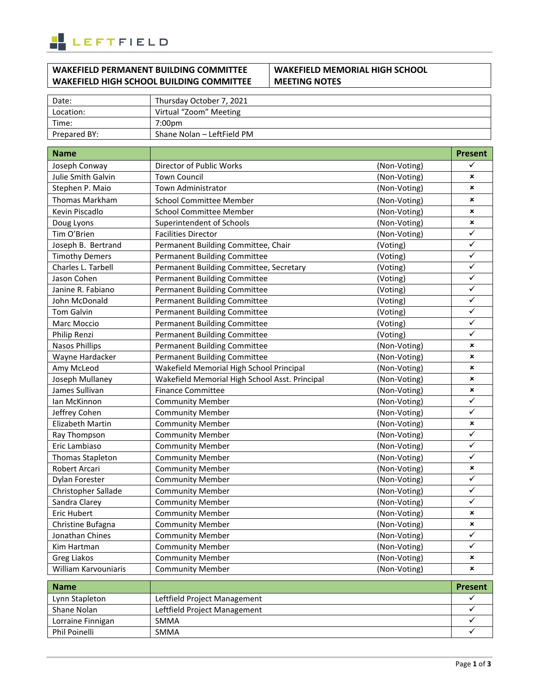

# **WAKEFIELD PERMANENT BUILDING COMMITTEE WAKEFIELD HIGH SCHOOL BUILDING COMMITTEE**

# **WAKEFIELD MEMORIAL HIGH SCHOOL MEETING NOTES**

| Date:        | Thursday October 7, 2021   |
|--------------|----------------------------|
| Location:    | Virtual "Zoom" Meeting     |
| Time:        | 7:00pm                     |
| Prepared BY: | Shane Nolan - LeftField PM |

| <b>Name</b>           |                                                |              | Present        |
|-----------------------|------------------------------------------------|--------------|----------------|
| Joseph Conway         | Director of Public Works                       | (Non-Voting) | ✓              |
| Julie Smith Galvin    | <b>Town Council</b>                            | (Non-Voting) | ×              |
| Stephen P. Maio       | Town Administrator                             | (Non-Voting) | ×              |
| <b>Thomas Markham</b> | <b>School Committee Member</b>                 | (Non-Voting) | $\pmb{\times}$ |
| Kevin Piscadlo        | <b>School Committee Member</b>                 | (Non-Voting) | ×              |
| Doug Lyons            | Superintendent of Schools                      | (Non-Voting) | ×              |
| Tim O'Brien           | <b>Facilities Director</b>                     | (Non-Voting) | ✓              |
| Joseph B. Bertrand    | Permanent Building Committee, Chair            | (Voting)     | ✓              |
| <b>Timothy Demers</b> | <b>Permanent Building Committee</b>            | (Voting)     | ✓              |
| Charles L. Tarbell    | Permanent Building Committee, Secretary        | (Voting)     | ✓              |
| Jason Cohen           | <b>Permanent Building Committee</b>            | (Voting)     | ✓              |
| Janine R. Fabiano     | <b>Permanent Building Committee</b>            | (Voting)     | ✓              |
| John McDonald         | <b>Permanent Building Committee</b>            | (Voting)     | ✓              |
| Tom Galvin            | <b>Permanent Building Committee</b>            | (Voting)     | ✓              |
| Marc Moccio           | <b>Permanent Building Committee</b>            | (Voting)     | ✓              |
| Philip Renzi          | <b>Permanent Building Committee</b>            | (Voting)     | ✓              |
| <b>Nasos Phillips</b> | <b>Permanent Building Committee</b>            | (Non-Voting) | ×              |
| Wayne Hardacker       | <b>Permanent Building Committee</b>            | (Non-Voting) | $\pmb{\times}$ |
| Amy McLeod            | Wakefield Memorial High School Principal       | (Non-Voting) | ×              |
| Joseph Mullaney       | Wakefield Memorial High School Asst. Principal | (Non-Voting) | ×              |
| James Sullivan        | <b>Finance Committee</b>                       | (Non-Voting) | ×              |
| lan McKinnon          | <b>Community Member</b>                        | (Non-Voting) | ✓              |
| Jeffrey Cohen         | <b>Community Member</b>                        | (Non-Voting) | $\checkmark$   |
| Elizabeth Martin      | <b>Community Member</b>                        | (Non-Voting) | ×              |
| Ray Thompson          | <b>Community Member</b>                        | (Non-Voting) | ✓              |
| Eric Lambiaso         | <b>Community Member</b>                        | (Non-Voting) | ✓              |
| Thomas Stapleton      | <b>Community Member</b>                        | (Non-Voting) | ✓              |
| Robert Arcari         | <b>Community Member</b>                        | (Non-Voting) | ×              |
| Dylan Forester        | <b>Community Member</b>                        | (Non-Voting) | ✓              |
| Christopher Sallade   | <b>Community Member</b>                        | (Non-Voting) | ✓              |
| Sandra Clarey         | <b>Community Member</b>                        | (Non-Voting) | ✓              |
| <b>Eric Hubert</b>    | <b>Community Member</b>                        | (Non-Voting) | $\pmb{\times}$ |
| Christine Bufagna     | <b>Community Member</b>                        | (Non-Voting) | ×              |
| Jonathan Chines       | <b>Community Member</b>                        | (Non-Voting) | ✓              |
| Kim Hartman           | <b>Community Member</b>                        | (Non-Voting) | ✓              |
| <b>Greg Liakos</b>    | <b>Community Member</b>                        | (Non-Voting) | ×              |
| William Karvouniaris  | <b>Community Member</b>                        | (Non-Voting) | ×              |

| <b>Name</b>       |                              | <b>Present</b> |
|-------------------|------------------------------|----------------|
| Lynn Stapleton    | Leftfield Project Management |                |
| Shane Nolan       | Leftfield Project Management |                |
| Lorraine Finnigan | SMMA                         |                |
| Phil Poinelli     | <b>SMMA</b>                  |                |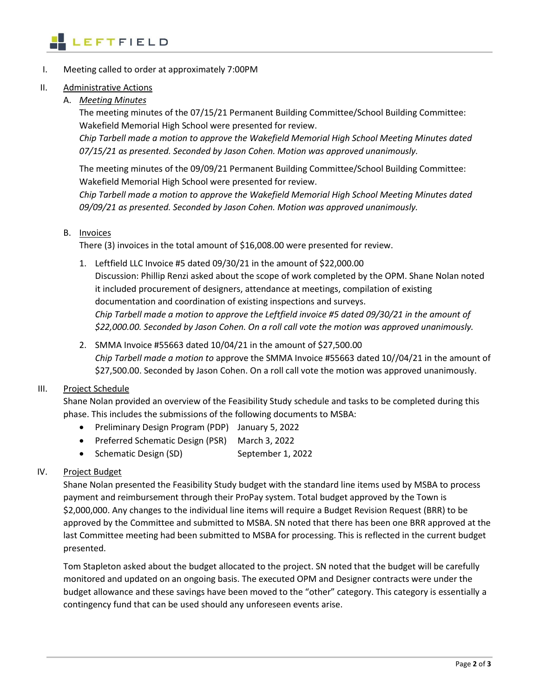

I. Meeting called to order at approximately 7:00PM

#### II. Administrative Actions

A. *Meeting Minutes*

The meeting minutes of the 07/15/21 Permanent Building Committee/School Building Committee: Wakefield Memorial High School were presented for review.

*Chip Tarbell made a motion to approve the Wakefield Memorial High School Meeting Minutes dated 07/15/21 as presented. Seconded by Jason Cohen. Motion was approved unanimously.* 

The meeting minutes of the 09/09/21 Permanent Building Committee/School Building Committee: Wakefield Memorial High School were presented for review.

*Chip Tarbell made a motion to approve the Wakefield Memorial High School Meeting Minutes dated 09/09/21 as presented. Seconded by Jason Cohen. Motion was approved unanimously.* 

#### B. Invoices

There (3) invoices in the total amount of \$16,008.00 were presented for review.

- 1. Leftfield LLC Invoice #5 dated 09/30/21 in the amount of \$22,000.00 Discussion: Phillip Renzi asked about the scope of work completed by the OPM. Shane Nolan noted it included procurement of designers, attendance at meetings, compilation of existing documentation and coordination of existing inspections and surveys. *Chip Tarbell made a motion to approve the Leftfield invoice #5 dated 09/30/21 in the amount of \$22,000.00. Seconded by Jason Cohen. On a roll call vote the motion was approved unanimously.*
- 2. SMMA Invoice #55663 dated 10/04/21 in the amount of \$27,500.00 *Chip Tarbell made a motion to* approve the SMMA Invoice #55663 dated 10//04/21 in the amount of \$27,500.00. Seconded by Jason Cohen. On a roll call vote the motion was approved unanimously.

## III. Project Schedule

Shane Nolan provided an overview of the Feasibility Study schedule and tasks to be completed during this phase. This includes the submissions of the following documents to MSBA:

- Preliminary Design Program (PDP) January 5, 2022
- Preferred Schematic Design (PSR) March 3, 2022
- Schematic Design (SD) September 1, 2022

## IV. Project Budget

Shane Nolan presented the Feasibility Study budget with the standard line items used by MSBA to process payment and reimbursement through their ProPay system. Total budget approved by the Town is \$2,000,000. Any changes to the individual line items will require a Budget Revision Request (BRR) to be approved by the Committee and submitted to MSBA. SN noted that there has been one BRR approved at the last Committee meeting had been submitted to MSBA for processing. This is reflected in the current budget presented.

Tom Stapleton asked about the budget allocated to the project. SN noted that the budget will be carefully monitored and updated on an ongoing basis. The executed OPM and Designer contracts were under the budget allowance and these savings have been moved to the "other" category. This category is essentially a contingency fund that can be used should any unforeseen events arise.